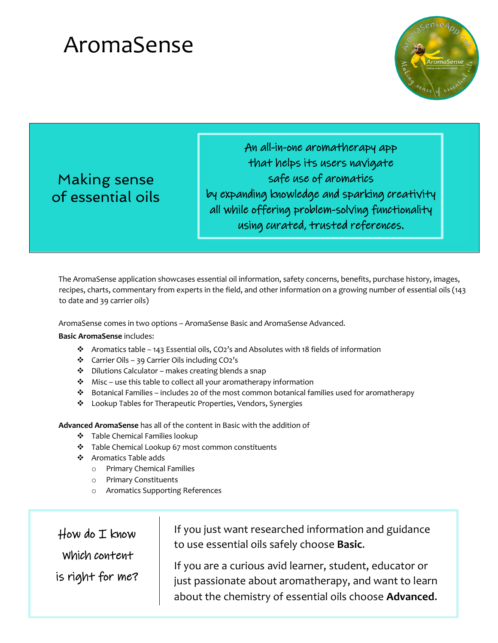

Making sense of essential oils

An all-in-one aromatherapy app that helps its users navigate safe use of aromatics by expanding knowledge and sparking creativity all while offering problem-solving functionality using curated, trusted references.

The AromaSense application showcases essential oil information, safety concerns, benefits, purchase history, images, recipes, charts, commentary from experts in the field, and other information on a growing number of essential oils (143 to date and 39 carrier oils)

AromaSense comes in two options – AromaSense Basic and AromaSense Advanced.

#### **Basic AromaSense** includes:

- **•** Aromatics table 143 Essential oils, CO2's and Absolutes with 18 fields of information
- $\div$  Carrier Oils 39 Carrier Oils including CO2's
- v Dilutions Calculator makes creating blends a snap
- $\cdot$  Misc use this table to collect all your aromatherapy information
- $\div$  Botanical Families includes 20 of the most common botanical families used for aromatherapy
- v Lookup Tables for Therapeutic Properties, Vendors, Synergies

**Advanced AromaSense** has all of the content in Basic with the addition of

- ❖ Table Chemical Families lookup
- \* Table Chemical Lookup 67 most common constituents
- v Aromatics Table adds
	- o Primary Chemical Families
	- o Primary Constituents
	- Aromatics Supporting References

 $\frac{1}{\sqrt{2}}$   $\frac{1}{\sqrt{2}}$   $\frac{1}{\sqrt{2}}$   $\frac{1}{\sqrt{2}}$   $\frac{1}{\sqrt{2}}$   $\frac{1}{\sqrt{2}}$   $\frac{1}{\sqrt{2}}$   $\frac{1}{\sqrt{2}}$   $\frac{1}{\sqrt{2}}$   $\frac{1}{\sqrt{2}}$   $\frac{1}{\sqrt{2}}$   $\frac{1}{\sqrt{2}}$   $\frac{1}{\sqrt{2}}$   $\frac{1}{\sqrt{2}}$   $\frac{1}{\sqrt{2}}$   $\frac{1}{\sqrt{2}}$   $\frac{1}{\sqrt{2}}$  is right for me?  $How do I know$ Which content

If you just want researched information and guidance to use essential oils safely choose **Basic**.

If you are a curious avid learner, student, educator or just passionate about aromatherapy, and want to learn about the chemistry of essential oils choose **Advanced**.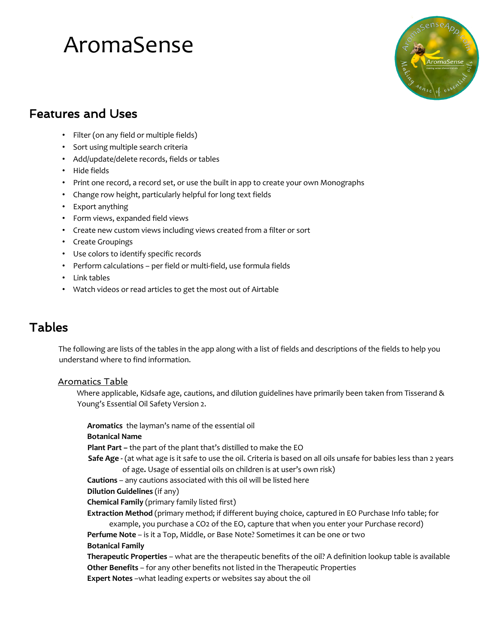

### Features and Uses

- Filter (on any field or multiple fields)
- Sort using multiple search criteria
- Add/update/delete records, fields or tables
- Hide fields
- Print one record, a record set, or use the built in app to create your own Monographs
- Change row height, particularly helpful for long text fields
- Export anything
- Form views, expanded field views
- Create new custom views including views created from a filter or sort
- Create Groupings
- Use colors to identify specific records
- Perform calculations per field or multi-field, use formula fields
- Link tables
- Watch videos or read articles to get the most out of Airtable

### Tables

The following are lists of the tables in the app along with a list of fields and descriptions of the fields to help you understand where to find information.

#### Aromatics Table

Where applicable, Kidsafe age, cautions, and dilution guidelines have primarily been taken from Tisserand & Young's Essential Oil Safety Version 2.

**Aromatics** the layman's name of the essential oil

#### **Botanical Name**

**Plant Part –** the part of the plant that's distilled to make the EO

**Safe Age -** (at what age is it safe to use the oil. Criteria is based on all oils unsafe for babies less than 2 years of age**.** Usage of essential oils on children is at user's own risk)

**Cautions** – any cautions associated with this oil will be listed here

**Dilution Guidelines** (if any)

**Chemical Family** (primary family listed first)

**Extraction Method** (primary method; if different buying choice, captured in EO Purchase Info table; for example, you purchase a CO2 of the EO, capture that when you enter your Purchase record)

**Perfume Note** – is it a Top, Middle, or Base Note? Sometimes it can be one or two **Botanical Family** 

**Therapeutic Properties** – what are the therapeutic benefits of the oil? A definition lookup table is available **Other Benefits** – for any other benefits not listed in the Therapeutic Properties

**Expert Notes** –what leading experts or websites say about the oil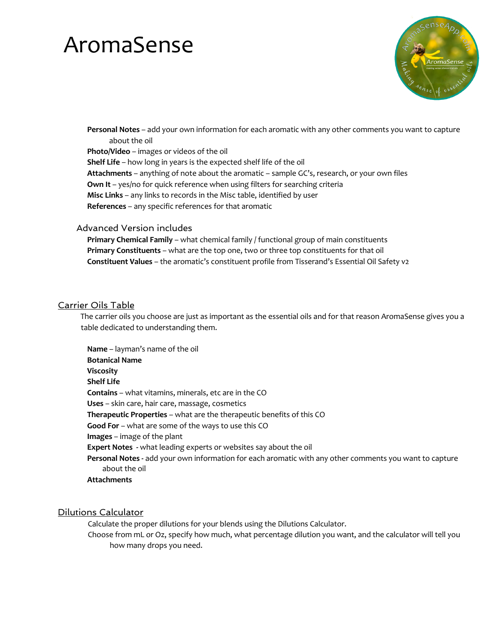

**Personal Notes** – add your own information for each aromatic with any other comments you want to capture about the oil **Photo/Video** – images or videos of the oil **Shelf Life** – how long in years is the expected shelf life of the oil **Attachments** – anything of note about the aromatic – sample GC's, research, or your own files **Own It** – yes/no for quick reference when using filters for searching criteria **Misc Links** – any links to records in the Misc table, identified by user **References** – any specific references for that aromatic

#### Advanced Version includes

**Primary Chemical Family** – what chemical family / functional group of main constituents **Primary Constituents** – what are the top one, two or three top constituents for that oil **Constituent Values** – the aromatic's constituent profile from Tisserand's Essential Oil Safety v2

#### Carrier Oils Table

The carrier oils you choose are just as important as the essential oils and for that reason AromaSense gives you a table dedicated to understanding them.

**Name** – layman's name of the oil **Botanical Name Viscosity Shelf Life Contains** – what vitamins, minerals, etc are in the CO **Uses** – skin care, hair care, massage, cosmetics **Therapeutic Properties** – what are the therapeutic benefits of this CO **Good For** – what are some of the ways to use this CO **Images** – image of the plant **Expert Notes -** what leading experts or websites say about the oil **Personal Notes -** add your own information for each aromatic with any other comments you want to capture about the oil **Attachments** 

#### Dilutions Calculator

Calculate the proper dilutions for your blends using the Dilutions Calculator.

Choose from mL or Oz, specify how much, what percentage dilution you want, and the calculator will tell you how many drops you need.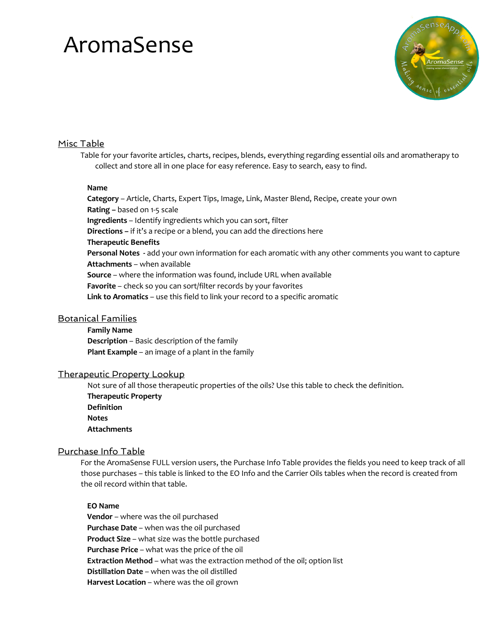

#### Misc Table

Table for your favorite articles, charts, recipes, blends, everything regarding essential oils and aromatherapy to collect and store all in one place for easy reference. Easy to search, easy to find.

#### **Name**

**Category** – Article, Charts, Expert Tips, Image, Link, Master Blend, Recipe, create your own **Rating –** based on 1-5 scale **Ingredients** – Identify ingredients which you can sort, filter **Directions –** if it's a recipe or a blend, you can add the directions here **Therapeutic Benefits Personal Notes -** add your own information for each aromatic with any other comments you want to capture **Attachments** – when available **Source** – where the information was found, include URL when available **Favorite** – check so you can sort/filter records by your favorites **Link to Aromatics** – use this field to link your record to a specific aromatic

#### Botanical Families

**Family Name Description** – Basic description of the family **Plant Example** – an image of a plant in the family

#### Therapeutic Property Lookup

Not sure of all those therapeutic properties of the oils? Use this table to check the definition. **Therapeutic Property Definition Notes Attachments**

#### Purchase Info Table

For the AromaSense FULL version users, the Purchase Info Table provides the fields you need to keep track of all those purchases – this table is linked to the EO Info and the Carrier Oils tables when the record is created from the oil record within that table.

#### **EO Name**

**Vendor** – where was the oil purchased **Purchase Date** – when was the oil purchased **Product Size** – what size was the bottle purchased **Purchase Price** – what was the price of the oil **Extraction Method** – what was the extraction method of the oil; option list **Distillation Date** – when was the oil distilled **Harvest Location** – where was the oil grown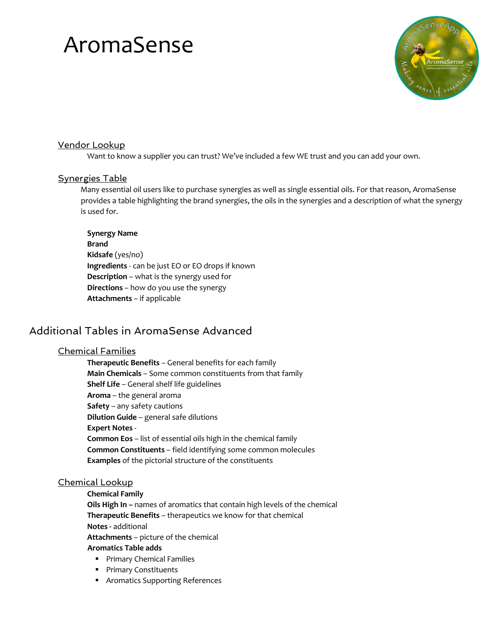

#### Vendor Lookup

Want to know a supplier you can trust? We've included a few WE trust and you can add your own.

#### Synergies Table

Many essential oil users like to purchase synergies as well as single essential oils. For that reason, AromaSense provides a table highlighting the brand synergies, the oils in the synergies and a description of what the synergy is used for.

#### **Synergy Name**

**Brand Kidsafe** (yes/no) **Ingredients** - can be just EO or EO drops if known **Description** – what is the synergy used for **Directions** – how do you use the synergy **Attachments** – if applicable

### Additional Tables in AromaSense Advanced

#### Chemical Families

**Therapeutic Benefits** – General benefits for each family **Main Chemicals** – Some common constituents from that family **Shelf Life** – General shelf life guidelines **Aroma** – the general aroma **Safety** – any safety cautions **Dilution Guide** – general safe dilutions **Expert Notes** - **Common Eos** – list of essential oils high in the chemical family **Common Constituents** – field identifying some common molecules **Examples** of the pictorial structure of the constituents

#### Chemical Lookup

**Chemical Family Oils High In –** names of aromatics that contain high levels of the chemical **Therapeutic Benefits** – therapeutics we know for that chemical **Notes -** additional **Attachments** – picture of the chemical **Aromatics Table adds**

- Primary Chemical Families
- Primary Constituents
- Aromatics Supporting References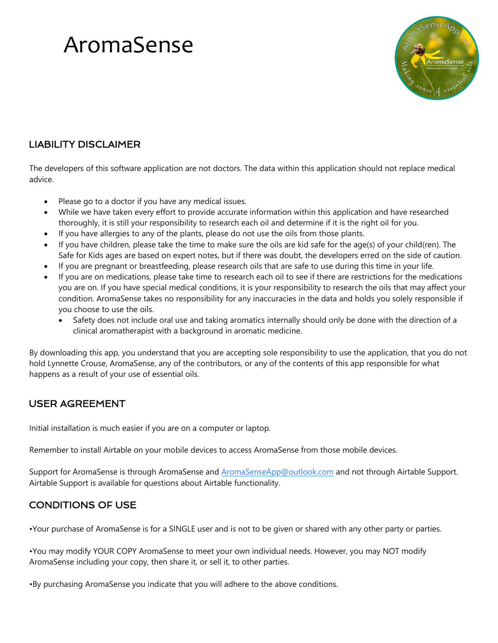

### LIABILITY DISCLAIMER

The developers of this software application are not doctors. The data within this application should not replace medical advice.

- Please go to a doctor if you have any medical issues.
- While we have taken every effort to provide accurate information within this application and have researched thoroughly, it is still your responsibility to research each oil and determine if it is the right oil for you.
- If you have allergies to any of the plants, please do not use the oils from those plants.
- If you have children, please take the time to make sure the oils are kid safe for the age(s) of your child(ren). The Safe for Kids ages are based on expert notes, but if there was doubt, the developers erred on the side of caution.
- If you are pregnant or breastfeeding, please research oils that are safe to use during this time in your life.
- If you are on medications, please take time to research each oil to see if there are restrictions for the medications you are on. If you have special medical conditions, it is your responsibility to research the oils that may affect your condition. AromaSense takes no responsibility for any inaccuracies in the data and holds you solely responsible if you choose to use the oils.
	- Safety does not include oral use and taking aromatics internally should only be done with the direction of a clinical aromatherapist with a background in aromatic medicine.

By downloading this app, you understand that you are accepting sole responsibility to use the application, that you do not hold Lynnette Crouse, AromaSense, any of the contributors, or any of the contents of this app responsible for what happens as a result of your use of essential oils.

### USER AGREEMENT

Initial installation is much easier if you are on a computer or laptop.

Remember to install Airtable on your mobile devices to access AromaSense from those mobile devices.

Support for AromaSense is through AromaSense and AromaSenseApp@outlook.com and not through Airtable Support. Airtable Support is available for questions about Airtable functionality.

### CONDITIONS OF USE

•Your purchase of AromaSense is for a SINGLE user and is not to be given or shared with any other party or parties.

•You may modify YOUR COPY AromaSense to meet your own individual needs. However, you may NOT modify AromaSense including your copy, then share it, or sell it, to other parties.

•By purchasing AromaSense you indicate that you will adhere to the above conditions.